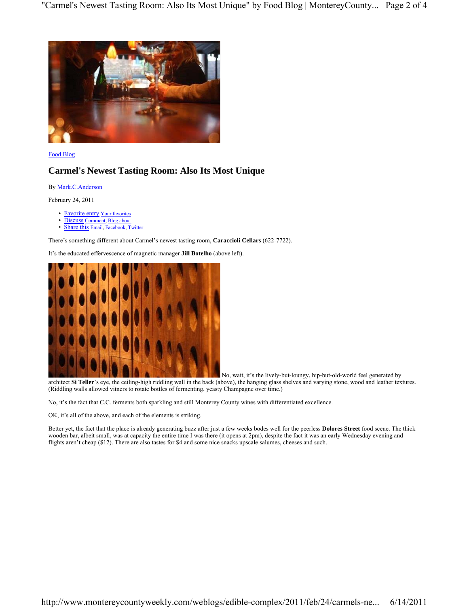

Food Blog

# **Carmel's Newest Tasting Room: Also Its Most Unique**

By Mark.C.Anderson

February 24, 2011

- Favorite entry Your favorit
- Discuss Comment, Blog about
- Share this Email, Facebook, Twitter

There's something different about Carmel's newest tasting room, **Caraccioli Cellars** (622-7722).

It's the educated effervescence of magnetic manager **Jill Botelho** (above left).



 No, wait, it's the lively-but-loungy, hip-but-old-world feel generated by architect **Si Teller**'s eye, the ceiling-high riddling wall in the back (above), the hanging glass shelves and varying stone, wood and leather textures. (Riddling walls allowed vitners to rotate bottles of fermenting, yeasty Champagne over time.)

No, it's the fact that C.C. ferments both sparkling and still Monterey County wines with differentiated excellence.

OK, it's all of the above, and each of the elements is striking.

Better yet, the fact that the place is already generating buzz after just a few weeks bodes well for the peerless **Dolores Street** food scene. The thick wooden bar, albeit small, was at capacity the entire time I was there (it opens at 2pm), despite the fact it was an early Wednesday evening and flights aren't cheap (\$12). There are also tastes for \$4 and some nice snacks upscale salumes, cheeses and such.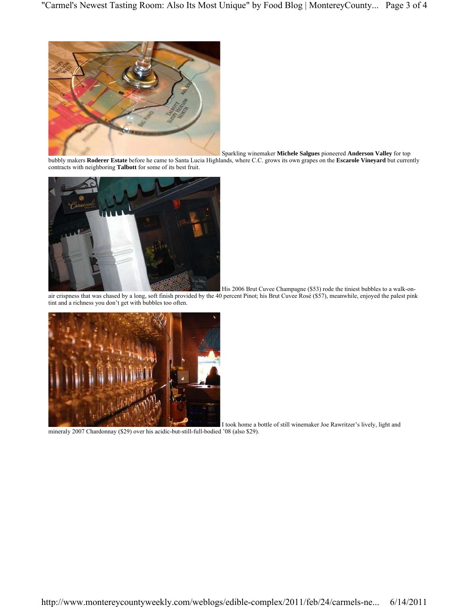

Sparkling winemaker **Michele Salgues** pioneered **Anderson Valley** for top

bubbly makers **Roderer Estate** before he came to Santa Lucia Highlands, where C.C. grows its own grapes on the **Escarole Vineyard** but currently contracts with neighboring **Talbott** for some of its best fruit.



His 2006 Brut Cuvee Champagne (\$53) rode the tiniest bubbles to a walk-on-

air crispness that was chased by a long, soft finish provided by the 40 percent Pinot; his Brut Cuvee Rosé (\$57), meanwhile, enjoyed the palest pink tint and a richness you don't get with bubbles too often.



I took home a bottle of still winemaker Joe Rawritzer's lively, light and

mineraly 2007 Chardonnay (\$29) over his acidic-but-still-full-bodied '08 (also \$29).